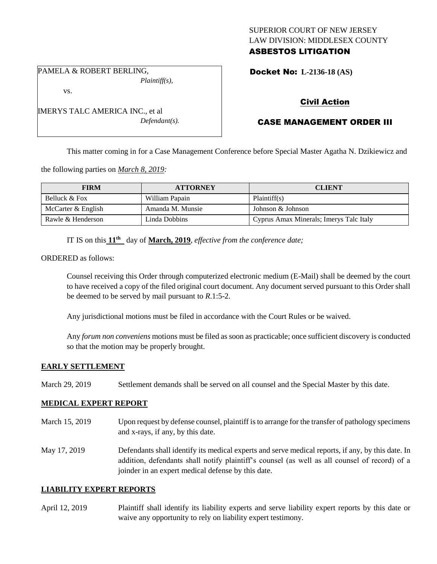### SUPERIOR COURT OF NEW JERSEY LAW DIVISION: MIDDLESEX COUNTY ASBESTOS LITIGATION

PAMELA & ROBERT BERLING, *Plaintiff(s),*

vs.

IMERYS TALC AMERICA INC., et al *Defendant(s).* Docket No: **L-2136-18 (AS)** 

# Civil Action

# CASE MANAGEMENT ORDER III

This matter coming in for a Case Management Conference before Special Master Agatha N. Dzikiewicz and

the following parties on *March 8, 2019:*

| <b>FIRM</b>        | <b>ATTORNEY</b>  | <b>CLIENT</b>                           |
|--------------------|------------------|-----------------------------------------|
| Belluck & Fox      | William Papain   | Plaintiff(s)                            |
| McCarter & English | Amanda M. Munsie | Johnson & Johnson                       |
| Rawle & Henderson  | Linda Dobbins    | Cyprus Amax Minerals; Imerys Talc Italy |

IT IS on this **11th** day of **March, 2019**, *effective from the conference date;*

ORDERED as follows:

Counsel receiving this Order through computerized electronic medium (E-Mail) shall be deemed by the court to have received a copy of the filed original court document. Any document served pursuant to this Order shall be deemed to be served by mail pursuant to *R*.1:5-2.

Any jurisdictional motions must be filed in accordance with the Court Rules or be waived.

Any *forum non conveniens* motions must be filed as soon as practicable; once sufficient discovery is conducted so that the motion may be properly brought.

#### **EARLY SETTLEMENT**

March 29, 2019 Settlement demands shall be served on all counsel and the Special Master by this date.

#### **MEDICAL EXPERT REPORT**

- March 15, 2019 Upon request by defense counsel, plaintiff is to arrange for the transfer of pathology specimens and x-rays, if any, by this date.
- May 17, 2019 Defendants shall identify its medical experts and serve medical reports, if any, by this date. In addition, defendants shall notify plaintiff's counsel (as well as all counsel of record) of a joinder in an expert medical defense by this date.

#### **LIABILITY EXPERT REPORTS**

April 12, 2019 Plaintiff shall identify its liability experts and serve liability expert reports by this date or waive any opportunity to rely on liability expert testimony.